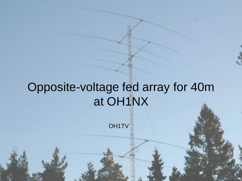# Opposite-voltage fed array for 40m at OH1NX

OH1TV

3.1.2011 OH1TV 1.2012 OH1TV 1.2012 OH1TV 1.2012 OH1TV 1.2012 OH1TV 1.2012 OH1TV 1.2012 OH1TV 1.2012 OH1TV 1.20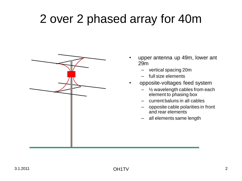# 2 over 2 phased array for 40m



- upper antenna up 49m, lower ant 29m
	- vertical spacing 20m
	- full size elements
- opposite-voltages feed system
	- $\frac{1}{2}$  wavelength cables from each element to phasing box
	- current baluns in all cables
	- opposite cable polarities in front and rear elements
	- all elements same length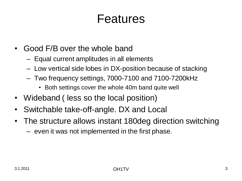# Features

- Good F/B over the whole band
	- Equal current amplitudes in all elements
	- Low vertical side lobes in DX-position because of stacking
	- Two frequency settings, 7000-7100 and 7100-7200kHz
		- Both settings cover the whole 40m band quite well
- Wideband ( less so the local position)
- Switchable take-off-angle. DX and Local
- The structure allows instant 180deg direction switching
	- even it was not implemented in the first phase.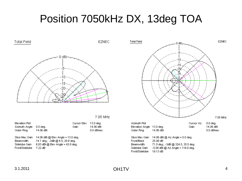## Position 7050kHz DX, 13deg TOA



| 7.05 MHz |  |
|----------|--|
|          |  |

EZNEC

| Elevation Plot<br>Azimuth Angle<br>Outer Ring                   | $0.0$ dea.<br>14.06 dBi                                                                                                    | Cursor Elev<br>Gain | 13.0 deg.<br>14.06 dBi<br>$0.0$ dBmax |
|-----------------------------------------------------------------|----------------------------------------------------------------------------------------------------------------------------|---------------------|---------------------------------------|
| Slice Max Gain<br>Beamwidth.<br>Sidelobe Gain<br>Front/Sidelobe | 14.06 dBi @ Elev Angle = 13.0 deg.<br>14.1 deg.; -3dB @ 6.5, 20.6 deg.<br>$6.83$ dBi @ Elev Angle = $43.0$ deg.<br>7.22 dB |                     |                                       |

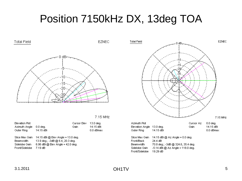## Position 7150kHz DX, 13deg TOA



|  |  | 15 MHz |
|--|--|--------|
|  |  |        |

**EZNEC** 

| Elevation Plot<br>Azimuth Angle<br>Outer Ring | $0.0$ dea.<br>14.15 dBi              | Cursor Elev<br>Gain | 13.0 deg.<br>14.15 dBi<br>$0.0$ dBmax |
|-----------------------------------------------|--------------------------------------|---------------------|---------------------------------------|
| Slice Max Gain                                | $14.15$ dBi @ Elev Angle = 13.0 deg. |                     |                                       |
| <b>Beamwidth</b>                              | 13.9 deg.; -3dB @ 6.4, 20.3 deg.     |                     |                                       |
| Sidelobe Gain                                 | $6.96$ dBi @ Elev Angle = 42.0 deg.  |                     |                                       |
| Front/Sidelobe                                | 7.19 dB                              |                     |                                       |



**Total Field**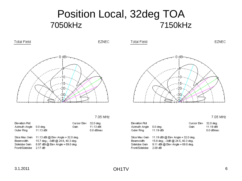### Position Local, 32deg TOA 7050kHz 7150kHz



EZNEC

**Total Field** 



7.05 MHz

| Elevation Plot<br>Azimuth Angle<br>Outer Ring | $0.0$ dea.<br>11.13 dBi             | Cursor Elev<br>Gain | 32.0 deg.<br>11.13 dBi<br>0.0 dBmax |
|-----------------------------------------------|-------------------------------------|---------------------|-------------------------------------|
| Slice Max Gain                                | 11.13 dBi @ Elev Angle = 32.0 deg.  |                     |                                     |
| Beamwidth.                                    | 15.7 deg.; -3dB @ 24.6, 40.3 deg.   |                     |                                     |
| Sidelobe Gain                                 | $8.97$ dBi @ Elev Angle = 69.0 deg. |                     |                                     |
| Front/Sidelobe                                | 2.17 dB                             |                     |                                     |



#### 7.05 MHz

EZNEC

| <b>Elevation Plot</b> |                                     | Cursor Elev | 32.0 deg. |
|-----------------------|-------------------------------------|-------------|-----------|
| Azimuth Angle         | $0.0$ dea.                          | Gain        | 11.19 dBi |
| Outer Ring            | 11.19 dBi                           |             | 0.0 dBmax |
|                       |                                     |             |           |
| Slice Max Gain        | 11.19 dBi @ Elev Angle = 32.0 deg.  |             |           |
| Beamwidth             | 15.8 deg.; -3dB @ 24.5, 40.3 deg.   |             |           |
| Sidelobe Gain         | $9.11$ dBi @ Elev Angle = 69.0 deg. |             |           |
| Front/Sidelobe        | $2.08$ dB                           |             |           |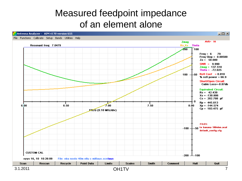### Measured feedpoint impedance of an element alone

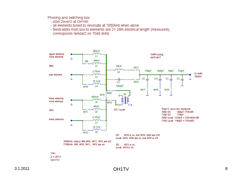- 
- Phasing and switching box<br>Phasing and switching box<br>Phasing at 7050kHz when alone
	- feedcables from box to elements are 21.28m electrical length (measured), corresponds lamda/2 on 7046.6kHz

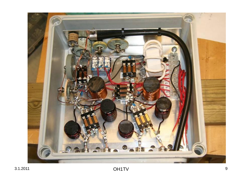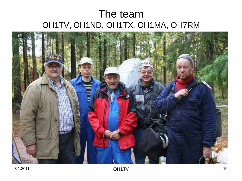### The team OH1TV, OH1ND, OH1TX, OH1MA, OH7RM

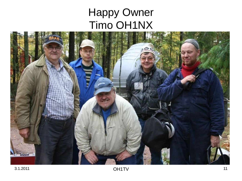## **Happy Owner** Timo OH1NX